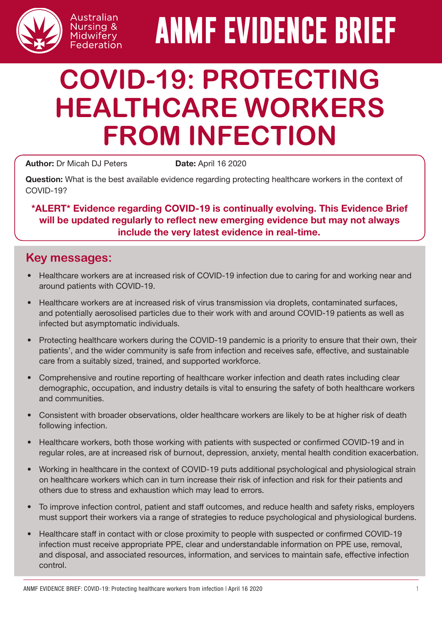

# **ANMF EVIDENCE BRIEF**

# **COVID-19: PROTECTING HEALTHCARE WORKERS FROM INFECTION**

Author: Dr Micah DJ Peters Date: April 16 2020

Question: What is the best available evidence regarding protecting healthcare workers in the context of COVID-19?

\*ALERT\* Evidence regarding COVID-19 is continually evolving. This Evidence Brief will be updated regularly to reflect new emerging evidence but may not always include the very latest evidence in real-time.

### **Key messages:**

- Healthcare workers are at increased risk of COVID-19 infection due to caring for and working near and around patients with COVID-19.
- Healthcare workers are at increased risk of virus transmission via droplets, contaminated surfaces, and potentially aerosolised particles due to their work with and around COVID-19 patients as well as infected but asymptomatic individuals.
- Protecting healthcare workers during the COVID-19 pandemic is a priority to ensure that their own, their patients', and the wider community is safe from infection and receives safe, effective, and sustainable care from a suitably sized, trained, and supported workforce.
- Comprehensive and routine reporting of healthcare worker infection and death rates including clear demographic, occupation, and industry details is vital to ensuring the safety of both healthcare workers and communities.
- Consistent with broader observations, older healthcare workers are likely to be at higher risk of death following infection.
- Healthcare workers, both those working with patients with suspected or confirmed COVID-19 and in regular roles, are at increased risk of burnout, depression, anxiety, mental health condition exacerbation.
- Working in healthcare in the context of COVID-19 puts additional psychological and physiological strain on healthcare workers which can in turn increase their risk of infection and risk for their patients and others due to stress and exhaustion which may lead to errors.
- To improve infection control, patient and staff outcomes, and reduce health and safety risks, employers must support their workers via a range of strategies to reduce psychological and physiological burdens.
- Healthcare staff in contact with or close proximity to people with suspected or confirmed COVID-19 infection must receive appropriate PPE, clear and understandable information on PPE use, removal, and disposal, and associated resources, information, and services to maintain safe, effective infection control.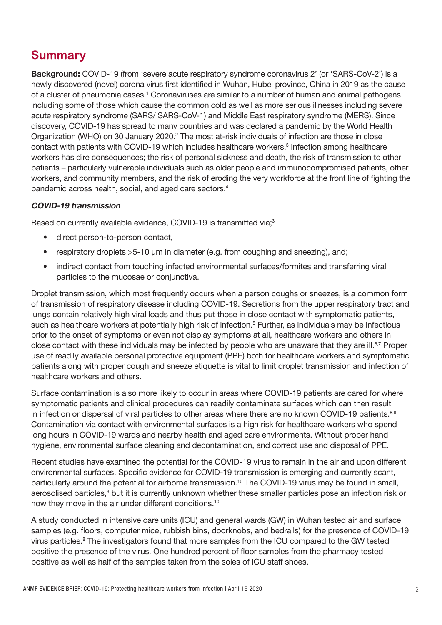# **Summary**

Background: COVID-19 (from 'severe acute respiratory syndrome coronavirus 2' (or 'SARS-CoV-2') is a newly discovered (novel) corona virus first identified in Wuhan, Hubei province, China in 2019 as the cause of a cluster of pneumonia cases.<sup>1</sup> Coronaviruses are similar to a number of human and animal pathogens including some of those which cause the common cold as well as more serious illnesses including severe acute respiratory syndrome (SARS/ SARS-CoV-1) and Middle East respiratory syndrome (MERS). Since discovery, COVID-19 has spread to many countries and was declared a pandemic by the World Health Organization (WHO) on 30 January 2020.<sup>2</sup> The most at-risk individuals of infection are those in close contact with patients with COVID-19 which includes healthcare workers.<sup>3</sup> Infection among healthcare workers has dire consequences; the risk of personal sickness and death, the risk of transmission to other patients – particularly vulnerable individuals such as older people and immunocompromised patients, other workers, and community members, and the risk of eroding the very workforce at the front line of fighting the pandemic across health, social, and aged care sectors.4

#### COVID-19 transmission

Based on currently available evidence, COVID-19 is transmitted via;<sup>3</sup>

- direct person-to-person contact,
- respiratory droplets >5-10 μm in diameter (e.g. from coughing and sneezing), and;
- indirect contact from touching infected environmental surfaces/formites and transferring viral particles to the mucosae or conjunctiva.

Droplet transmission, which most frequently occurs when a person coughs or sneezes, is a common form of transmission of respiratory disease including COVID-19. Secretions from the upper respiratory tract and lungs contain relatively high viral loads and thus put those in close contact with symptomatic patients, such as healthcare workers at potentially high risk of infection.<sup>5</sup> Further, as individuals may be infectious prior to the onset of symptoms or even not display symptoms at all, healthcare workers and others in close contact with these individuals may be infected by people who are unaware that they are ill.<sup>6,7</sup> Proper use of readily available personal protective equipment (PPE) both for healthcare workers and symptomatic patients along with proper cough and sneeze etiquette is vital to limit droplet transmission and infection of healthcare workers and others.

Surface contamination is also more likely to occur in areas where COVID-19 patients are cared for where symptomatic patients and clinical procedures can readily contaminate surfaces which can then result in infection or dispersal of viral particles to other areas where there are no known COVID-19 patients.<sup>8,9</sup> Contamination via contact with environmental surfaces is a high risk for healthcare workers who spend long hours in COVID-19 wards and nearby health and aged care environments. Without proper hand hygiene, environmental surface cleaning and decontamination, and correct use and disposal of PPE.

Recent studies have examined the potential for the COVID-19 virus to remain in the air and upon different environmental surfaces. Specific evidence for COVID-19 transmission is emerging and currently scant, particularly around the potential for airborne transmission.<sup>10</sup> The COVID-19 virus may be found in small, aerosolised particles,<sup>8</sup> but it is currently unknown whether these smaller particles pose an infection risk or how they move in the air under different conditions.<sup>10</sup>

A study conducted in intensive care units (ICU) and general wards (GW) in Wuhan tested air and surface samples (e.g. floors, computer mice, rubbish bins, doorknobs, and bedrails) for the presence of COVID-19 virus particles.<sup>8</sup> The investigators found that more samples from the ICU compared to the GW tested positive the presence of the virus. One hundred percent of floor samples from the pharmacy tested positive as well as half of the samples taken from the soles of ICU staff shoes.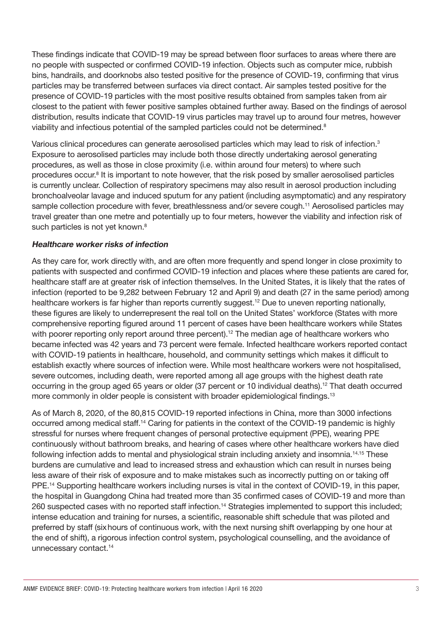These findings indicate that COVID-19 may be spread between floor surfaces to areas where there are no people with suspected or confirmed COVID-19 infection. Objects such as computer mice, rubbish bins, handrails, and doorknobs also tested positive for the presence of COVID-19, confirming that virus particles may be transferred between surfaces via direct contact. Air samples tested positive for the presence of COVID-19 particles with the most positive results obtained from samples taken from air closest to the patient with fewer positive samples obtained further away. Based on the findings of aerosol distribution, results indicate that COVID-19 virus particles may travel up to around four metres, however viability and infectious potential of the sampled particles could not be determined.<sup>8</sup>

Various clinical procedures can generate aerosolised particles which may lead to risk of infection.3 Exposure to aerosolised particles may include both those directly undertaking aerosol generating procedures, as well as those in close proximity (i.e. within around four meters) to where such procedures occur.<sup>8</sup> It is important to note however, that the risk posed by smaller aerosolised particles is currently unclear. Collection of respiratory specimens may also result in aerosol production including bronchoalveolar lavage and induced sputum for any patient (including asymptomatic) and any respiratory sample collection procedure with fever, breathlessness and/or severe cough.<sup>11</sup> Aerosolised particles may travel greater than one metre and potentially up to four meters, however the viability and infection risk of such particles is not yet known.<sup>8</sup>

#### Healthcare worker risks of infection

As they care for, work directly with, and are often more frequently and spend longer in close proximity to patients with suspected and confirmed COVID-19 infection and places where these patients are cared for, healthcare staff are at greater risk of infection themselves. In the United States, it is likely that the rates of infection (reported to be 9,282 between February 12 and April 9) and death (27 in the same period) among healthcare workers is far higher than reports currently suggest.<sup>12</sup> Due to uneven reporting nationally, these figures are likely to underrepresent the real toll on the United States' workforce (States with more comprehensive reporting figured around 11 percent of cases have been healthcare workers while States with poorer reporting only report around three percent).<sup>12</sup> The median age of healthcare workers who became infected was 42 years and 73 percent were female. Infected healthcare workers reported contact with COVID-19 patients in healthcare, household, and community settings which makes it difficult to establish exactly where sources of infection were. While most healthcare workers were not hospitalised, severe outcomes, including death, were reported among all age groups with the highest death rate occurring in the group aged 65 years or older (37 percent or 10 individual deaths).12 That death occurred more commonly in older people is consistent with broader epidemiological findings.<sup>13</sup>

As of March 8, 2020, of the 80,815 COVID-19 reported infections in China, more than 3000 infections occurred among medical staff.14 Caring for patients in the context of the COVID-19 pandemic is highly stressful for nurses where frequent changes of personal protective equipment (PPE), wearing PPE continuously without bathroom breaks, and hearing of cases where other healthcare workers have died following infection adds to mental and physiological strain including anxiety and insomnia.14,15 These burdens are cumulative and lead to increased stress and exhaustion which can result in nurses being less aware of their risk of exposure and to make mistakes such as incorrectly putting on or taking off PPE.<sup>14</sup> Supporting healthcare workers including nurses is vital in the context of COVID-19, in this paper, the hospital in Guangdong China had treated more than 35 confirmed cases of COVID-19 and more than 260 suspected cases with no reported staff infection.14 Strategies implemented to support this included; intense education and training for nurses, a scientific, reasonable shift schedule that was piloted and preferred by staff (sixhours of continuous work, with the next nursing shift overlapping by one hour at the end of shift), a rigorous infection control system, psychological counselling, and the avoidance of unnecessary contact.<sup>14</sup>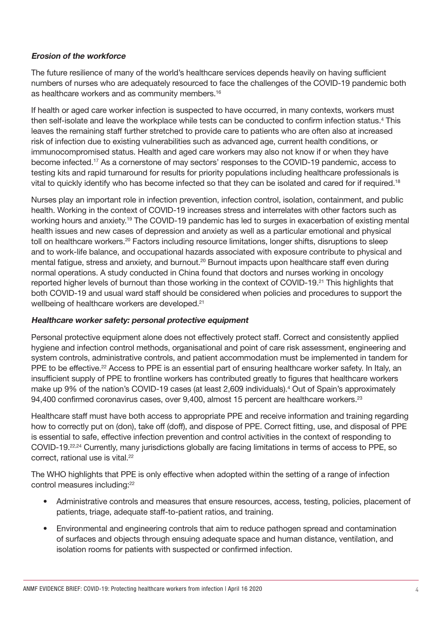#### Erosion of the workforce

The future resilience of many of the world's healthcare services depends heavily on having sufficient numbers of nurses who are adequately resourced to face the challenges of the COVID-19 pandemic both as healthcare workers and as community members.<sup>16</sup>

If health or aged care worker infection is suspected to have occurred, in many contexts, workers must then self-isolate and leave the workplace while tests can be conducted to confirm infection status.<sup>4</sup> This leaves the remaining staff further stretched to provide care to patients who are often also at increased risk of infection due to existing vulnerabilities such as advanced age, current health conditions, or immunocompromised status. Health and aged care workers may also not know if or when they have become infected.17 As a cornerstone of may sectors' responses to the COVID-19 pandemic, access to testing kits and rapid turnaround for results for priority populations including healthcare professionals is vital to quickly identify who has become infected so that they can be isolated and cared for if required.<sup>18</sup>

Nurses play an important role in infection prevention, infection control, isolation, containment, and public health. Working in the context of COVID-19 increases stress and interrelates with other factors such as working hours and anxiety.19 The COVID-19 pandemic has led to surges in exacerbation of existing mental health issues and new cases of depression and anxiety as well as a particular emotional and physical toll on healthcare workers.<sup>20</sup> Factors including resource limitations, longer shifts, disruptions to sleep and to work-life balance, and occupational hazards associated with exposure contribute to physical and mental fatigue, stress and anxiety, and burnout.<sup>20</sup> Burnout impacts upon healthcare staff even during normal operations. A study conducted in China found that doctors and nurses working in oncology reported higher levels of burnout than those working in the context of COVID-19.<sup>21</sup> This highlights that both COVID-19 and usual ward staff should be considered when policies and procedures to support the wellbeing of healthcare workers are developed.<sup>21</sup>

#### Healthcare worker safety: personal protective equipment

Personal protective equipment alone does not effectively protect staff. Correct and consistently applied hygiene and infection control methods, organisational and point of care risk assessment, engineering and system controls, administrative controls, and patient accommodation must be implemented in tandem for PPE to be effective.<sup>22</sup> Access to PPE is an essential part of ensuring healthcare worker safety. In Italy, an insufficient supply of PPE to frontline workers has contributed greatly to figures that healthcare workers make up 9% of the nation's COVID-19 cases (at least 2,609 individuals).<sup>4</sup> Out of Spain's approximately 94,400 confirmed coronavirus cases, over 9,400, almost 15 percent are healthcare workers.<sup>23</sup>

Healthcare staff must have both access to appropriate PPE and receive information and training regarding how to correctly put on (don), take off (doff), and dispose of PPE. Correct fitting, use, and disposal of PPE is essential to safe, effective infection prevention and control activities in the context of responding to COVID-19.<sup>22,24</sup> Currently, many jurisdictions globally are facing limitations in terms of access to PPE, so correct, rational use is vital.<sup>22</sup>

The WHO highlights that PPE is only effective when adopted within the setting of a range of infection control measures including:<sup>22</sup>

- Administrative controls and measures that ensure resources, access, testing, policies, placement of patients, triage, adequate staff-to-patient ratios, and training.
- Environmental and engineering controls that aim to reduce pathogen spread and contamination of surfaces and objects through ensuing adequate space and human distance, ventilation, and isolation rooms for patients with suspected or confirmed infection.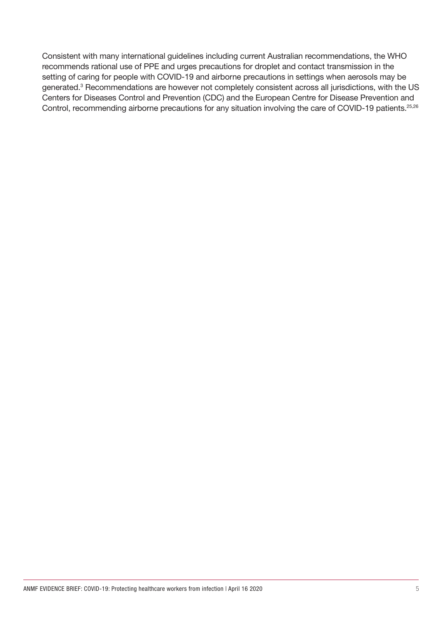Consistent with many international guidelines including current Australian recommendations, the WHO recommends rational use of PPE and urges precautions for droplet and contact transmission in the setting of caring for people with COVID-19 and airborne precautions in settings when aerosols may be generated.<sup>3</sup> Recommendations are however not completely consistent across all jurisdictions, with the US Centers for Diseases Control and Prevention (CDC) and the European Centre for Disease Prevention and Control, recommending airborne precautions for any situation involving the care of COVID-19 patients.<sup>25,26</sup>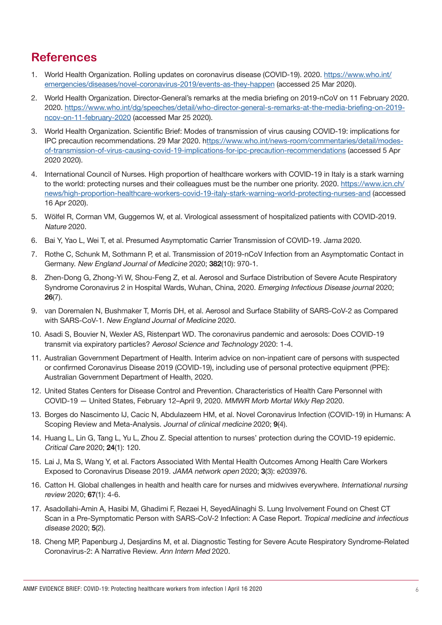## **References**

- 1. World Health Organization. Rolling updates on coronavirus disease (COVID-19). 2020. [https://www.who.int/](https://www.who.int/emergencies/diseases/novel-coronavirus-2019/events-as-they-happen) [emergencies/diseases/novel-coronavirus-2019/events-as-they-happen](https://www.who.int/emergencies/diseases/novel-coronavirus-2019/events-as-they-happen) (accessed 25 Mar 2020).
- 2. World Health Organization. Director-General's remarks at the media briefing on 2019-nCoV on 11 February 2020. 2020. [https://www.who.int/dg/speeches/detail/who-director-general-s-remarks-at-the-media-briefing-on-2019](https://www.who.int/dg/speeches/detail/who-director-general-s-remarks-at-the-media-briefing-on-2019-ncov-on-11-february-2020) [ncov-on-11-february-2020](https://www.who.int/dg/speeches/detail/who-director-general-s-remarks-at-the-media-briefing-on-2019-ncov-on-11-february-2020) (accessed Mar 25 2020).
- 3. World Health Organization. Scientific Brief: Modes of transmission of virus causing COVID-19: implications for IPC precaution recommendations. 29 Mar 2020. [https://www.who.int/news-room/commentaries/detail/modes](ttps://www.who.int/news-room/commentaries/detail/modes-of-transmission-of-virus-causing-covid-19-implications-for-ipc-precaution-recommendations)[of-transmission-of-virus-causing-covid-19-implications-for-ipc-precaution-recommendations](ttps://www.who.int/news-room/commentaries/detail/modes-of-transmission-of-virus-causing-covid-19-implications-for-ipc-precaution-recommendations) (accessed 5 Apr 2020 2020).
- 4. International Council of Nurses. High proportion of healthcare workers with COVID-19 in Italy is a stark warning to the world: protecting nurses and their colleagues must be the number one priority. 2020. [https://www.icn.ch/](https://www.icn.ch/news/high-proportion-healthcare-workers-covid-19-italy-stark-warning-world-protecting-nurses-and) [news/high-proportion-healthcare-workers-covid-19-italy-stark-warning-world-protecting-nurses-and](https://www.icn.ch/news/high-proportion-healthcare-workers-covid-19-italy-stark-warning-world-protecting-nurses-and) (accessed 16 Apr 2020).
- 5. Wölfel R, Corman VM, Guggemos W, et al. Virological assessment of hospitalized patients with COVID-2019. Nature 2020.
- 6. Bai Y, Yao L, Wei T, et al. Presumed Asymptomatic Carrier Transmission of COVID-19. Jama 2020.
- 7. Rothe C, Schunk M, Sothmann P, et al. Transmission of 2019-nCoV Infection from an Asymptomatic Contact in Germany. New England Journal of Medicine 2020; 382(10): 970-1.
- 8. Zhen-Dong G, Zhong-Yi W, Shou-Feng Z, et al. Aerosol and Surface Distribution of Severe Acute Respiratory Syndrome Coronavirus 2 in Hospital Wards, Wuhan, China, 2020. Emerging Infectious Disease journal 2020; 26(7).
- 9. van Doremalen N, Bushmaker T, Morris DH, et al. Aerosol and Surface Stability of SARS-CoV-2 as Compared with SARS-CoV-1. New England Journal of Medicine 2020.
- 10. Asadi S, Bouvier N, Wexler AS, Ristenpart WD. The coronavirus pandemic and aerosols: Does COVID-19 transmit via expiratory particles? Aerosol Science and Technology 2020: 1-4.
- 11. Australian Government Department of Health. Interim advice on non-inpatient care of persons with suspected or confirmed Coronavirus Disease 2019 (COVID-19), including use of personal protective equipment (PPE): Australian Government Department of Health, 2020.
- 12. United States Centers for Disease Control and Prevention. Characteristics of Health Care Personnel with COVID-19 — United States, February 12–April 9, 2020. MMWR Morb Mortal Wkly Rep 2020.
- 13. Borges do Nascimento IJ, Cacic N, Abdulazeem HM, et al. Novel Coronavirus Infection (COVID-19) in Humans: A Scoping Review and Meta-Analysis. Journal of clinical medicine 2020; 9(4).
- 14. Huang L, Lin G, Tang L, Yu L, Zhou Z. Special attention to nurses' protection during the COVID-19 epidemic. Critical Care 2020; 24(1): 120.
- 15. Lai J, Ma S, Wang Y, et al. Factors Associated With Mental Health Outcomes Among Health Care Workers Exposed to Coronavirus Disease 2019. JAMA network open 2020; 3(3): e203976.
- 16. Catton H. Global challenges in health and health care for nurses and midwives everywhere. International nursing review 2020; 67(1): 4-6.
- 17. Asadollahi-Amin A, Hasibi M, Ghadimi F, Rezaei H, SeyedAlinaghi S. Lung Involvement Found on Chest CT Scan in a Pre-Symptomatic Person with SARS-CoV-2 Infection: A Case Report. Tropical medicine and infectious disease 2020; 5(2).
- 18. Cheng MP, Papenburg J, Desjardins M, et al. Diagnostic Testing for Severe Acute Respiratory Syndrome-Related Coronavirus-2: A Narrative Review. Ann Intern Med 2020.